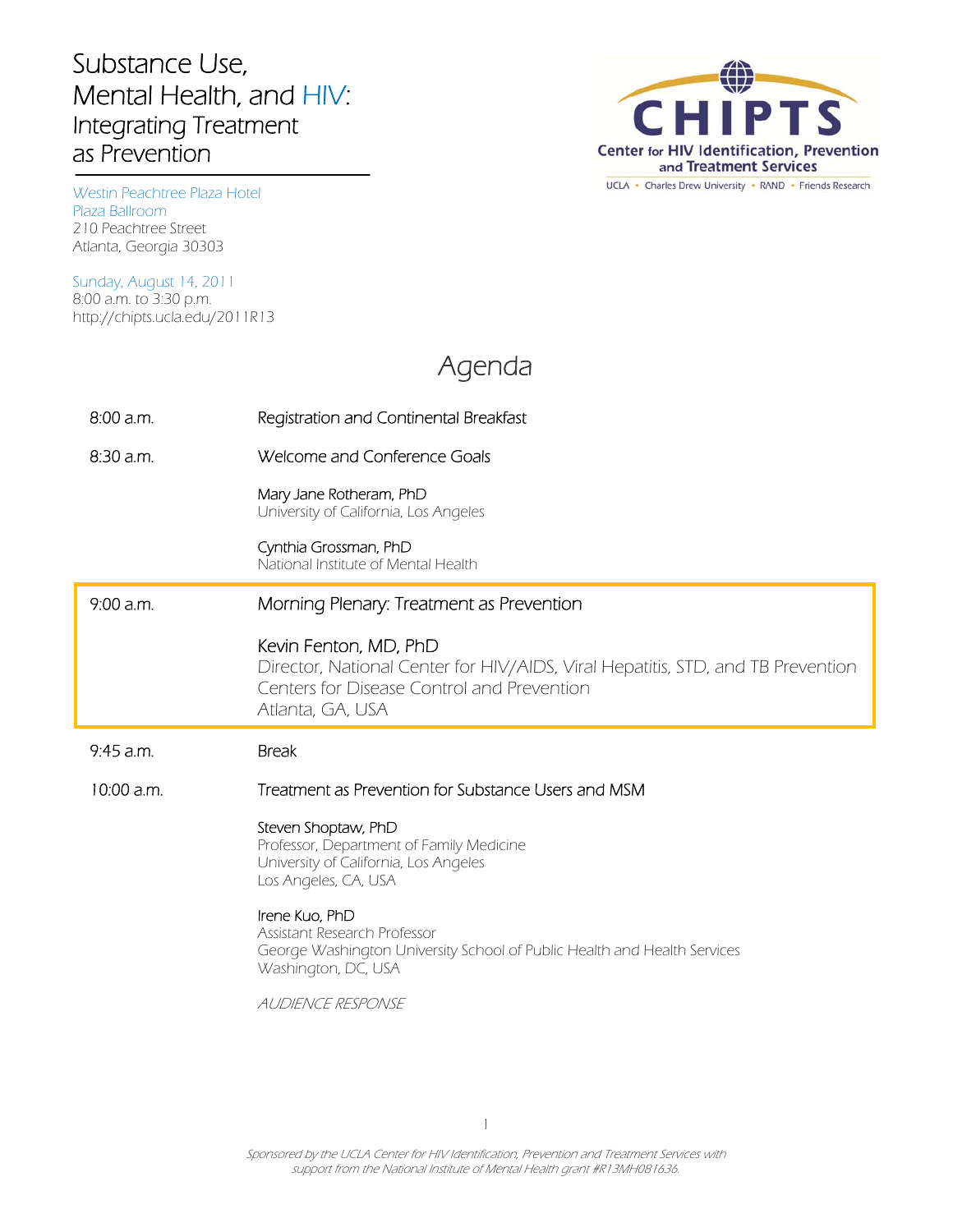## Substance Use, Mental Health, and HIV: Integrating Treatment as Prevention



210 Peachtree Street Westin Peachtree Plaza Hotel Plaza Ballroom Atlanta, Georgia 30303

Sunday, August 14, 2011 8:00 a.m. to 3:30 p.m. http://chipts.ucla.edu/2011R13

## Agenda

| $8:00$ a.m.  | Registration and Continental Breakfast                                                                                                                                     |
|--------------|----------------------------------------------------------------------------------------------------------------------------------------------------------------------------|
| $8:30$ a.m.  | Welcome and Conference Goals                                                                                                                                               |
|              | Mary Jane Rotheram, PhD<br>University of California, Los Angeles                                                                                                           |
|              | Cynthia Grossman, PhD<br>National Institute of Mental Health                                                                                                               |
| $9:00$ a.m.  | Morning Plenary: Treatment as Prevention                                                                                                                                   |
|              | Kevin Fenton, MD, PhD<br>Director, National Center for HIV/AIDS, Viral Hepatitis, STD, and TB Prevention<br>Centers for Disease Control and Prevention<br>Atlanta, GA, USA |
|              |                                                                                                                                                                            |
| $9:45$ a.m.  | <b>Break</b>                                                                                                                                                               |
| $10:00$ a.m. | Treatment as Prevention for Substance Users and MSM                                                                                                                        |
|              | Steven Shoptaw, PhD<br>Professor, Department of Family Medicine<br>University of California, Los Angeles<br>Los Angeles, CA, USA                                           |
|              | Irene Kuo, PhD<br>Assistant Research Professor<br>George Washington University School of Public Health and Health Services<br>Washington, DC, USA                          |